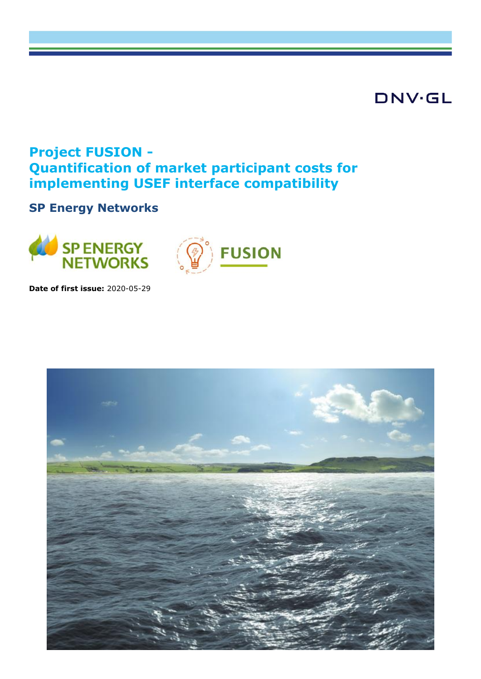# **DNV·GL**

# **Project FUSION - Quantification of market participant costs for implementing USEF interface compatibility**

# **SP Energy Networks**





**Date of first issue:** 2020-05-29

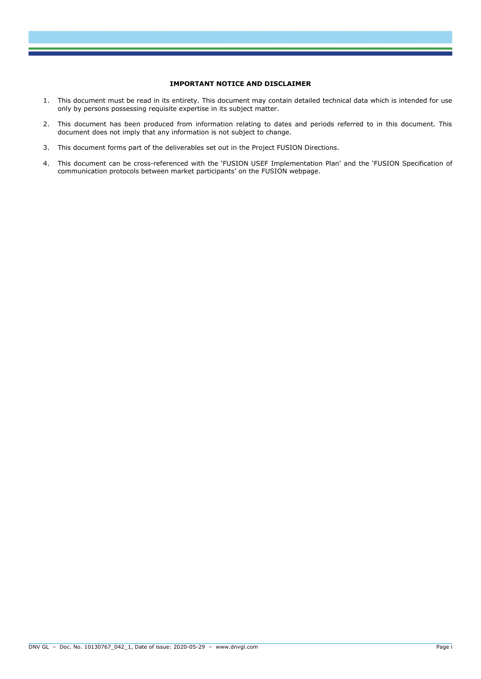#### **IMPORTANT NOTICE AND DISCLAIMER**

- 1. This document must be read in its entirety. This document may contain detailed technical data which is intended for use only by persons possessing requisite expertise in its subject matter.
- 2. This document has been produced from information relating to dates and periods referred to in this document. This document does not imply that any information is not subject to change.
- 3. This document forms part of the deliverables set out in the Project FUSION Directions.
- 4. This document can be cross-referenced with the 'FUSION USEF Implementation Plan' and the 'FUSION Specification of communication protocols between market participants' on the FUSION webpage.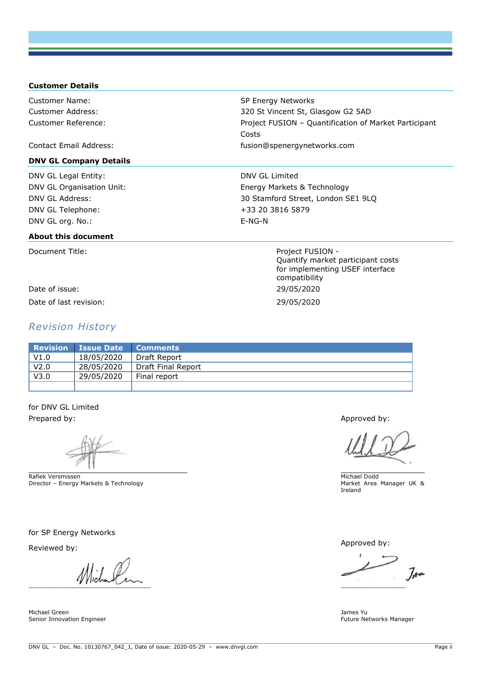#### **Customer Details**

Customer Name: SP Energy Networks Customer Address: 320 St Vincent St, Glasgow G2 5AD Customer Reference: Project FUSION – Quantification of Market Participant

Contact Email Address: fusion@spenergynetworks.com

#### **DNV GL Company Details**

DNV GL Legal Entity: DNV GL Limited

#### **About this document**

Date of issue: 29/05/2020 Date of last revision: 29/05/2020

#### *Revision History*

DNV GL Organisation Unit: Energy Markets & Technology DNV GL Address: 30 Stamford Street, London SE1 9LQ DNV GL Telephone: +33 20 3816 5879 DNV GL org. No.: E-NG-N

Costs

Document Title: Notified the Second Second Second Project FUSION -Quantify market participant costs for implementing USEF interface compatibility

**Revision Issue Date Comments**  V1.0 | 18/05/2020 | Draft Report V2.0 28/05/2020 Draft Final Report V3.0 29/05/2020 Final report

for DNV GL Limited Prepared by: Approved by: Approved by: Approved by: Approved by: Approved by: Approved by: Approved by: Approved by: Approved by: Approved by: Approved by: Approved by: Approved by: Approved by: Approved by: Approved by: A

Rafiek Versmissen Director – Energy Markets & Technology

for SP Energy Networks

 $\blacksquare$ 

Michael Green Senior Innovation Engineer

Michael Dodd Market Area Manager UK & Ireland

Reviewed by: Approved by:

 $7<sub>4</sub>$ 

James Yu Future Networks Manager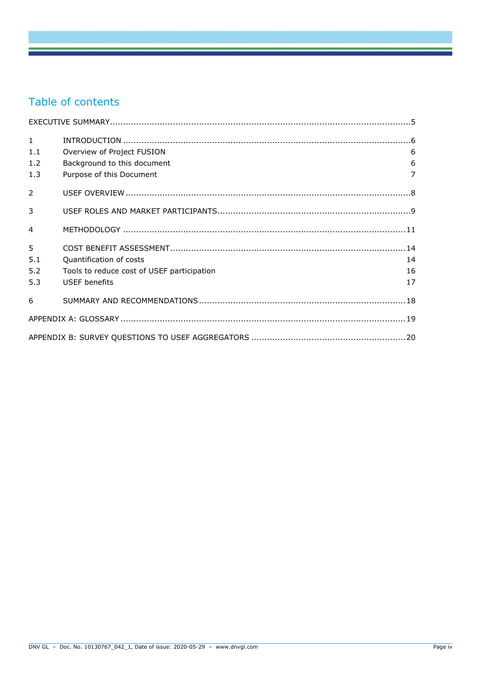## Table of contents

| $\mathbf{1}$   |                                            |                |
|----------------|--------------------------------------------|----------------|
| 1.1            | Overview of Project FUSION                 | 6              |
| 1.2            | Background to this document                | 6              |
| 1.3            | Purpose of this Document                   | $\overline{7}$ |
| $\mathcal{P}$  |                                            |                |
| 3              |                                            |                |
| $\overline{4}$ |                                            |                |
| 5              |                                            |                |
| 5.1            | Quantification of costs                    | 14             |
| 5.2            | Tools to reduce cost of USEF participation | 16             |
| 5.3            | <b>USEF</b> benefits                       | 17             |
| 6              |                                            |                |
|                |                                            |                |
|                |                                            |                |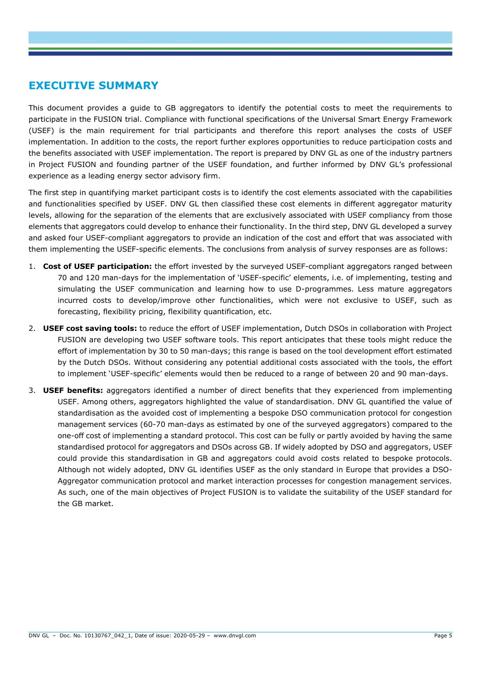### **EXECUTIVE SUMMARY**

This document provides a guide to GB aggregators to identify the potential costs to meet the requirements to participate in the FUSION trial. Compliance with functional specifications of the Universal Smart Energy Framework (USEF) is the main requirement for trial participants and therefore this report analyses the costs of USEF implementation. In addition to the costs, the report further explores opportunities to reduce participation costs and the benefits associated with USEF implementation. The report is prepared by DNV GL as one of the industry partners in Project FUSION and founding partner of the USEF foundation, and further informed by DNV GL's professional experience as a leading energy sector advisory firm.

The first step in quantifying market participant costs is to identify the cost elements associated with the capabilities and functionalities specified by USEF. DNV GL then classified these cost elements in different aggregator maturity levels, allowing for the separation of the elements that are exclusively associated with USEF compliancy from those elements that aggregators could develop to enhance their functionality. In the third step, DNV GL developed a survey and asked four USEF-compliant aggregators to provide an indication of the cost and effort that was associated with them implementing the USEF-specific elements. The conclusions from analysis of survey responses are as follows:

- 1. **Cost of USEF participation:** the effort invested by the surveyed USEF-compliant aggregators ranged between 70 and 120 man-days for the implementation of 'USEF-specific' elements, i.e. of implementing, testing and simulating the USEF communication and learning how to use D-programmes. Less mature aggregators incurred costs to develop/improve other functionalities, which were not exclusive to USEF, such as forecasting, flexibility pricing, flexibility quantification, etc.
- 2. **USEF cost saving tools:** to reduce the effort of USEF implementation, Dutch DSOs in collaboration with Project FUSION are developing two USEF software tools. This report anticipates that these tools might reduce the effort of implementation by 30 to 50 man-days; this range is based on the tool development effort estimated by the Dutch DSOs. Without considering any potential additional costs associated with the tools, the effort to implement 'USEF-specific' elements would then be reduced to a range of between 20 and 90 man-days.
- 3. **USEF benefits:** aggregators identified a number of direct benefits that they experienced from implementing USEF. Among others, aggregators highlighted the value of standardisation. DNV GL quantified the value of standardisation as the avoided cost of implementing a bespoke DSO communication protocol for congestion management services (60-70 man-days as estimated by one of the surveyed aggregators) compared to the one-off cost of implementing a standard protocol. This cost can be fully or partly avoided by having the same standardised protocol for aggregators and DSOs across GB. If widely adopted by DSO and aggregators, USEF could provide this standardisation in GB and aggregators could avoid costs related to bespoke protocols. Although not widely adopted, DNV GL identifies USEF as the only standard in Europe that provides a DSO-Aggregator communication protocol and market interaction processes for congestion management services. As such, one of the main objectives of Project FUSION is to validate the suitability of the USEF standard for the GB market.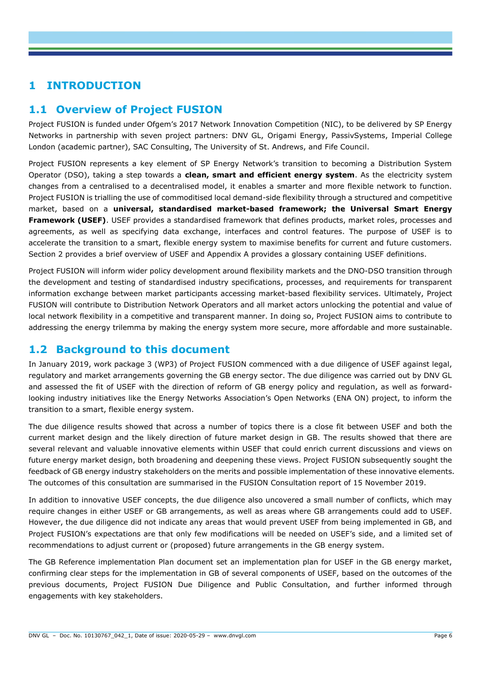## **1 INTRODUCTION**

### **1.1 Overview of Project FUSION**

Project FUSION is funded under Ofgem's 2017 Network Innovation Competition (NIC), to be delivered by SP Energy Networks in partnership with seven project partners: DNV GL, Origami Energy, PassivSystems, Imperial College London (academic partner), SAC Consulting, The University of St. Andrews, and Fife Council.

Project FUSION represents a key element of SP Energy Network's transition to becoming a Distribution System Operator (DSO), taking a step towards a **clean, smart and efficient energy system**. As the electricity system changes from a centralised to a decentralised model, it enables a smarter and more flexible network to function. Project FUSION is trialling the use of commoditised local demand-side flexibility through a structured and competitive market, based on a **universal, standardised market-based framework; the Universal Smart Energy Framework (USEF)**. USEF provides a standardised framework that defines products, market roles, processes and agreements, as well as specifying data exchange, interfaces and control features. The purpose of USEF is to accelerate the transition to a smart, flexible energy system to maximise benefits for current and future customers. Section [2](#page-8-0) provides a brief overview of USEF and Appendix A provides a glossary containing USEF definitions.

Project FUSION will inform wider policy development around flexibility markets and the DNO-DSO transition through the development and testing of standardised industry specifications, processes, and requirements for transparent information exchange between market participants accessing market-based flexibility services. Ultimately, Project FUSION will contribute to Distribution Network Operators and all market actors unlocking the potential and value of local network flexibility in a competitive and transparent manner. In doing so, Project FUSION aims to contribute to addressing the energy trilemma by making the energy system more secure, more affordable and more sustainable.

#### **1.2 Background to this document**

In January 2019, work package 3 (WP3) of Project FUSION commenced with a due diligence of USEF against legal, regulatory and market arrangements governing the GB energy sector. The due diligence was carried out by DNV GL and assessed the fit of USEF with the direction of reform of GB energy policy and regulation, as well as forwardlooking industry initiatives like the Energy Networks Association's Open Networks (ENA ON) project, to inform the transition to a smart, flexible energy system.

The due diligence results showed that across a number of topics there is a close fit between USEF and both the current market design and the likely direction of future market design in GB. The results showed that there are several relevant and valuable innovative elements within USEF that could enrich current discussions and views on future energy market design, both broadening and deepening these views. Project FUSION subsequently sought the feedback of GB energy industry stakeholders on the merits and possible implementation of these innovative elements. The outcomes of this consultation are summarised in the FUSION Consultation report of 15 November 2019.

In addition to innovative USEF concepts, the due diligence also uncovered a small number of conflicts, which may require changes in either USEF or GB arrangements, as well as areas where GB arrangements could add to USEF. However, the due diligence did not indicate any areas that would prevent USEF from being implemented in GB, and Project FUSION's expectations are that only few modifications will be needed on USEF's side, and a limited set of recommendations to adjust current or (proposed) future arrangements in the GB energy system.

The GB Reference implementation Plan document set an implementation plan for USEF in the GB energy market, confirming clear steps for the implementation in GB of several components of USEF, based on the outcomes of the previous documents, Project FUSION Due Diligence and Public Consultation, and further informed through engagements with key stakeholders.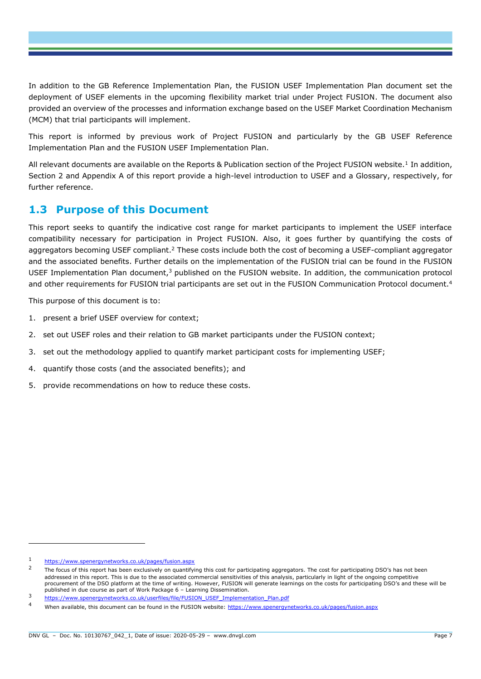In addition to the GB Reference Implementation Plan, the FUSION USEF Implementation Plan document set the deployment of USEF elements in the upcoming flexibility market trial under Project FUSION. The document also provided an overview of the processes and information exchange based on the USEF Market Coordination Mechanism (MCM) that trial participants will implement.

This report is informed by previous work of Project FUSION and particularly by the GB USEF Reference Implementation Plan and the FUSION USEF Implementation Plan.

All relevant documents are available on the Reports & Publication section of the Project FUSION website.<sup>1</sup> In addition, Section [2](#page-8-0) and Appendix A of this report provide a high-level introduction to USEF and a Glossary, respectively, for further reference.

### **1.3 Purpose of this Document**

This report seeks to quantify the indicative cost range for market participants to implement the USEF interface compatibility necessary for participation in Project FUSION. Also, it goes further by quantifying the costs of aggregators becoming USEF compliant.<sup>2</sup> These costs include both the cost of becoming a USEF-compliant aggregator and the associated benefits. Further details on the implementation of the FUSION trial can be found in the FUSION USEF Implementation Plan document,<sup>3</sup> published on the FUSION website. In addition, the communication protocol and other requirements for FUSION trial participants are set out in the FUSION Communication Protocol document.<sup>4</sup>

This purpose of this document is to:

- 1. present a brief USEF overview for context;
- 2. set out USEF roles and their relation to GB market participants under the FUSION context;
- 3. set out the methodology applied to quantify market participant costs for implementing USEF;
- 4. quantify those costs (and the associated benefits); and
- 5. provide recommendations on how to reduce these costs.

<https://www.spenergynetworks.co.uk/pages/fusion.aspx>

 $\overline{2}$ The focus of this report has been exclusively on quantifying this cost for participating aggregators. The cost for participating DSO's has not been addressed in this report. This is due to the associated commercial sensitivities of this analysis, particularly in light of the ongoing competitive procurement of the DSO platform at the time of writing. However, FUSION will generate learnings on the costs for participating DSO's and these will be published in due course as part of Work Package 6 – Learning Dissemination.

<sup>3</sup> [https://www.spenergynetworks.co.uk/userfiles/file/FUSION\\_USEF\\_Implementation\\_Plan.pdf](https://www.spenergynetworks.co.uk/userfiles/file/FUSION_USEF_Implementation_Plan.pdf)

When available, this document can be found in the FUSION website:<https://www.spenergynetworks.co.uk/pages/fusion.aspx>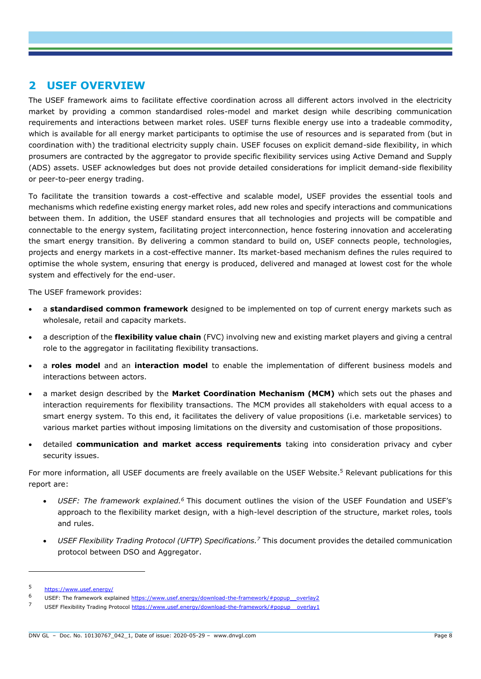### <span id="page-8-0"></span>**2 USEF OVERVIEW**

The USEF framework aims to facilitate effective coordination across all different actors involved in the electricity market by providing a common standardised roles-model and market design while describing communication requirements and interactions between market roles. USEF turns flexible energy use into a tradeable commodity, which is available for all energy market participants to optimise the use of resources and is separated from (but in coordination with) the traditional electricity supply chain. USEF focuses on explicit demand-side flexibility, in which prosumers are contracted by the aggregator to provide specific flexibility services using Active Demand and Supply (ADS) assets. USEF acknowledges but does not provide detailed considerations for implicit demand-side flexibility or peer-to-peer energy trading.

To facilitate the transition towards a cost-effective and scalable model, USEF provides the essential tools and mechanisms which redefine existing energy market roles, add new roles and specify interactions and communications between them. In addition, the USEF standard ensures that all technologies and projects will be compatible and connectable to the energy system, facilitating project interconnection, hence fostering innovation and accelerating the smart energy transition. By delivering a common standard to build on, USEF connects people, technologies, projects and energy markets in a cost-effective manner. Its market-based mechanism defines the rules required to optimise the whole system, ensuring that energy is produced, delivered and managed at lowest cost for the whole system and effectively for the end-user.

The USEF framework provides:

- a **standardised common framework** designed to be implemented on top of current energy markets such as wholesale, retail and capacity markets.
- a description of the **flexibility value chain** (FVC) involving new and existing market players and giving a central role to the aggregator in facilitating flexibility transactions.
- a **roles model** and an **interaction model** to enable the implementation of different business models and interactions between actors.
- a market design described by the **Market Coordination Mechanism (MCM)** which sets out the phases and interaction requirements for flexibility transactions. The MCM provides all stakeholders with equal access to a smart energy system. To this end, it facilitates the delivery of value propositions (i.e. marketable services) to various market parties without imposing limitations on the diversity and customisation of those propositions.
- detailed **communication and market access requirements** taking into consideration privacy and cyber security issues.

For more information, all USEF documents are freely available on the USEF Website.<sup>5</sup> Relevant publications for this report are:

- *USEF: The framework explained.<sup>6</sup>* This document outlines the vision of the USEF Foundation and USEF's approach to the flexibility market design, with a high-level description of the structure, market roles, tools and rules.
- *USEF Flexibility Trading Protocol (UFTP*) *Specifications. <sup>7</sup>* This document provides the detailed communication protocol between DSO and Aggregator.

<sup>5</sup> <https://www.usef.energy/>

<sup>6</sup> USEF: The framework explained  $\frac{https://www.usef.energy/download-the-framework/\#popup_oveclay2}{2}$ 

USEF Flexibility Trading Protocol https://www.usef.energy/download-the-framework/#popup\_overlay1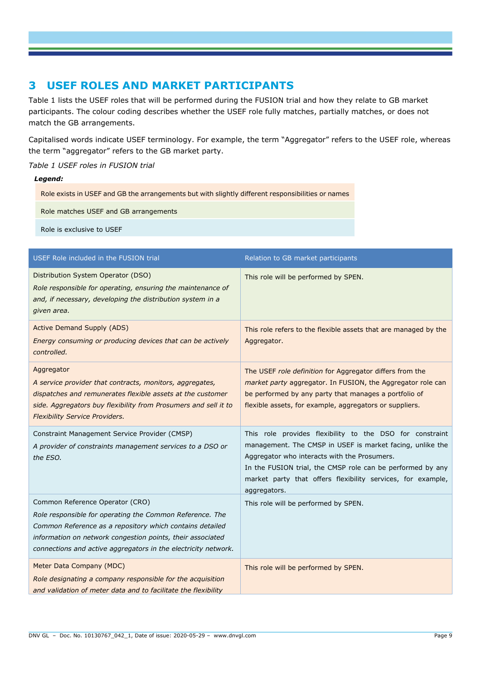### **3 USEF ROLES AND MARKET PARTICIPANTS**

[Table 1](#page-9-0) lists the USEF roles that will be performed during the FUSION trial and how they relate to GB market participants. The colour coding describes whether the USEF role fully matches, partially matches, or does not match the GB arrangements.

Capitalised words indicate USEF terminology. For example, the term "Aggregator" refers to the USEF role, whereas the term "aggregator" refers to the GB market party.

#### <span id="page-9-0"></span>*Table 1 USEF roles in FUSION trial*

#### *Legend:*

Role exists in USEF and GB the arrangements but with slightly different responsibilities or names

Role matches USEF and GB arrangements

Role is exclusive to USEF

| USEF Role included in the FUSION trial                                                                                                                                                                                                                                                  | Relation to GB market participants                                                                                                                                                                                                                                                                                 |
|-----------------------------------------------------------------------------------------------------------------------------------------------------------------------------------------------------------------------------------------------------------------------------------------|--------------------------------------------------------------------------------------------------------------------------------------------------------------------------------------------------------------------------------------------------------------------------------------------------------------------|
| Distribution System Operator (DSO)<br>Role responsible for operating, ensuring the maintenance of<br>and, if necessary, developing the distribution system in a<br>given area.                                                                                                          | This role will be performed by SPEN.                                                                                                                                                                                                                                                                               |
| <b>Active Demand Supply (ADS)</b><br>Energy consuming or producing devices that can be actively<br>controlled.                                                                                                                                                                          | This role refers to the flexible assets that are managed by the<br>Aggregator.                                                                                                                                                                                                                                     |
| Aggregator<br>A service provider that contracts, monitors, aggregates,<br>dispatches and remunerates flexible assets at the customer<br>side. Aggregators buy flexibility from Prosumers and sell it to<br><b>Flexibility Service Providers.</b>                                        | The USEF role definition for Aggregator differs from the<br>market party aggregator. In FUSION, the Aggregator role can<br>be performed by any party that manages a portfolio of<br>flexible assets, for example, aggregators or suppliers.                                                                        |
| Constraint Management Service Provider (CMSP)<br>A provider of constraints management services to a DSO or<br>the ESO.                                                                                                                                                                  | This role provides flexibility to the DSO for constraint<br>management. The CMSP in USEF is market facing, unlike the<br>Aggregator who interacts with the Prosumers.<br>In the FUSION trial, the CMSP role can be performed by any<br>market party that offers flexibility services, for example,<br>aggregators. |
| Common Reference Operator (CRO)<br>Role responsible for operating the Common Reference. The<br>Common Reference as a repository which contains detailed<br>information on network congestion points, their associated<br>connections and active aggregators in the electricity network. | This role will be performed by SPEN.                                                                                                                                                                                                                                                                               |
| Meter Data Company (MDC)<br>Role designating a company responsible for the acquisition<br>and validation of meter data and to facilitate the flexibility                                                                                                                                | This role will be performed by SPEN.                                                                                                                                                                                                                                                                               |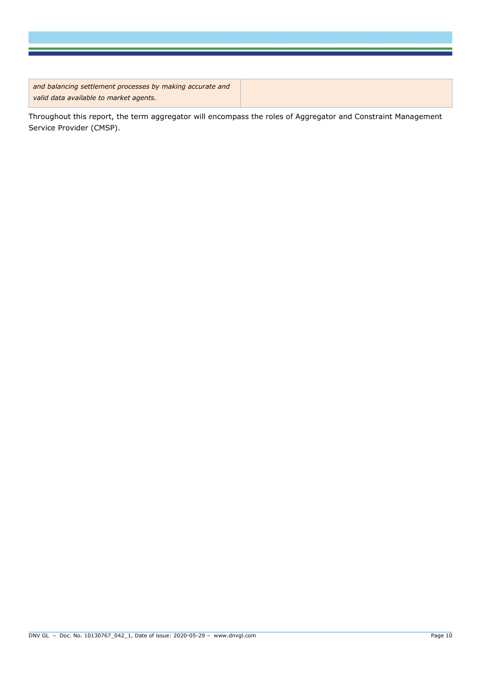*and balancing settlement processes by making accurate and valid data available to market agents.*

Throughout this report, the term aggregator will encompass the roles of Aggregator and Constraint Management Service Provider (CMSP).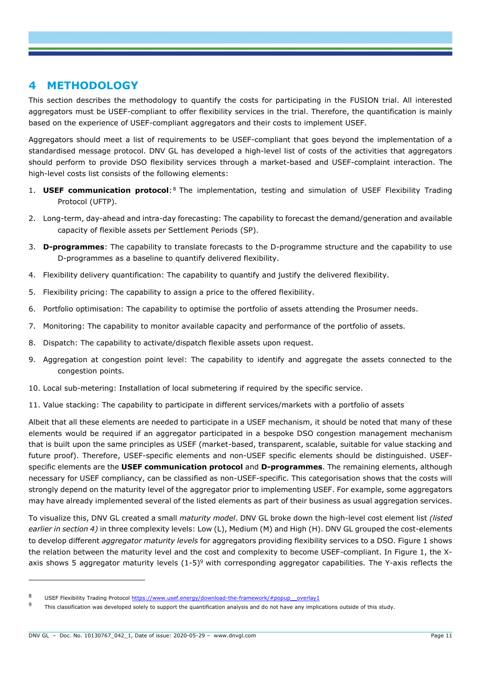#### <span id="page-11-0"></span>**4 METHODOLOGY**

This section describes the methodology to quantify the costs for participating in the FUSION trial. All interested aggregators must be USEF-compliant to offer flexibility services in the trial. Therefore, the quantification is mainly based on the experience of USEF-compliant aggregators and their costs to implement USEF.

Aggregators should meet a list of requirements to be USEF-compliant that goes beyond the implementation of a standardised message protocol. DNV GL has developed a high-level list of costs of the activities that aggregators should perform to provide DSO flexibility services through a market-based and USEF-complaint interaction. The high-level costs list consists of the following elements:

- 1. **USEF communication protocol:**<sup>8</sup> The implementation, testing and simulation of USEF Flexibility Trading Protocol (UFTP).
- 2. Long-term, day-ahead and intra-day forecasting: The capability to forecast the demand/generation and available capacity of flexible assets per Settlement Periods (SP).
- 3. **D-programmes**: The capability to translate forecasts to the D-programme structure and the capability to use D-programmes as a baseline to quantify delivered flexibility.
- 4. Flexibility delivery quantification: The capability to quantify and justify the delivered flexibility.
- 5. Flexibility pricing: The capability to assign a price to the offered flexibility.
- 6. Portfolio optimisation: The capability to optimise the portfolio of assets attending the Prosumer needs.
- 7. Monitoring: The capability to monitor available capacity and performance of the portfolio of assets.
- 8. Dispatch: The capability to activate/dispatch flexible assets upon request.
- 9. Aggregation at congestion point level: The capability to identify and aggregate the assets connected to the congestion points.
- 10. Local sub-metering: Installation of local submetering if required by the specific service.
- 11. Value stacking: The capability to participate in different services/markets with a portfolio of assets

Albeit that all these elements are needed to participate in a USEF mechanism, it should be noted that many of these elements would be required if an aggregator participated in a bespoke DSO congestion management mechanism that is built upon the same principles as USEF (market-based, transparent, scalable, suitable for value stacking and future proof). Therefore, USEF-specific elements and non-USEF specific elements should be distinguished. USEFspecific elements are the **USEF communication protocol** and **D-programmes**. The remaining elements, although necessary for USEF compliancy, can be classified as non-USEF-specific. This categorisation shows that the costs will strongly depend on the maturity level of the aggregator prior to implementing USEF. For example, some aggregators may have already implemented several of the listed elements as part of their business as usual aggregation services.

To visualize this, DNV GL created a small *maturity model*. DNV GL broke down the high-level cost element list *(listed earlier in section 4)* in three complexity levels: Low (L), Medium (M) and High (H). DNV GL grouped the cost-elements to develop different *aggregator maturity levels* for aggregators providing flexibility services to a DSO*.* [Figure 1](#page-13-0) shows the relation between the maturity level and the cost and complexity to become USEF-compliant. In Figure 1, the Xaxis shows 5 aggregator maturity levels  $(1-5)^9$  with corresponding aggregator capabilities. The Y-axis reflects the

<sup>8</sup> USEF Flexibility Trading Protocol https://www.usef.energy/download-the-framework/#popup\_overlay1

<sup>9</sup> This classification was developed solely to support the quantification analysis and do not have any implications outside of this study.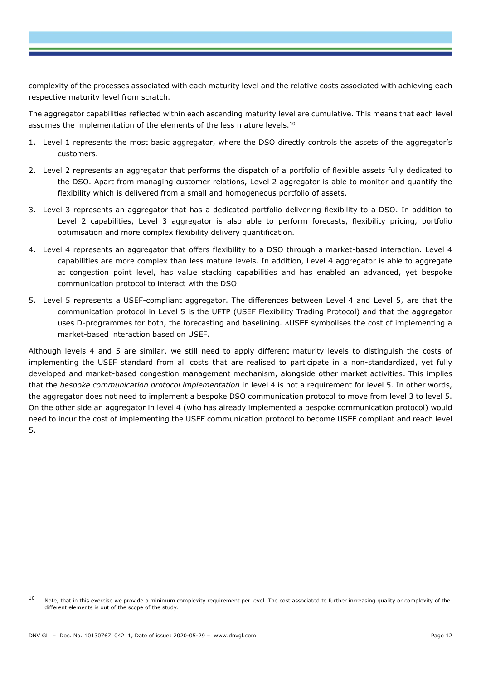complexity of the processes associated with each maturity level and the relative costs associated with achieving each respective maturity level from scratch.

The aggregator capabilities reflected within each ascending maturity level are cumulative. This means that each level assumes the implementation of the elements of the less mature levels.<sup>10</sup>

- 1. Level 1 represents the most basic aggregator, where the DSO directly controls the assets of the aggregator's customers.
- 2. Level 2 represents an aggregator that performs the dispatch of a portfolio of flexible assets fully dedicated to the DSO. Apart from managing customer relations, Level 2 aggregator is able to monitor and quantify the flexibility which is delivered from a small and homogeneous portfolio of assets.
- 3. Level 3 represents an aggregator that has a dedicated portfolio delivering flexibility to a DSO. In addition to Level 2 capabilities, Level 3 aggregator is also able to perform forecasts, flexibility pricing, portfolio optimisation and more complex flexibility delivery quantification.
- 4. Level 4 represents an aggregator that offers flexibility to a DSO through a market-based interaction. Level 4 capabilities are more complex than less mature levels. In addition, Level 4 aggregator is able to aggregate at congestion point level, has value stacking capabilities and has enabled an advanced, yet bespoke communication protocol to interact with the DSO.
- 5. Level 5 represents a USEF-compliant aggregator. The differences between Level 4 and Level 5, are that the communication protocol in Level 5 is the UFTP (USEF Flexibility Trading Protocol) and that the aggregator uses D-programmes for both, the forecasting and baselining.  $\Delta$ USEF symbolises the cost of implementing a market-based interaction based on USEF.

Although levels 4 and 5 are similar, we still need to apply different maturity levels to distinguish the costs of implementing the USEF standard from all costs that are realised to participate in a non-standardized, yet fully developed and market-based congestion management mechanism, alongside other market activities. This implies that the *bespoke communication protocol implementation* in level 4 is not a requirement for level 5. In other words, the aggregator does not need to implement a bespoke DSO communication protocol to move from level 3 to level 5. On the other side an aggregator in level 4 (who has already implemented a bespoke communication protocol) would need to incur the cost of implementing the USEF communication protocol to become USEF compliant and reach level 5.

 $10$  Note, that in this exercise we provide a minimum complexity requirement per level. The cost associated to further increasing quality or complexity of the different elements is out of the scope of the study.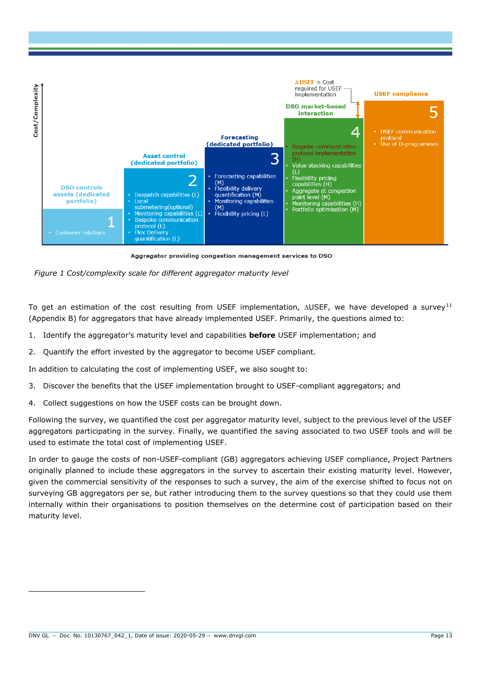

Aggregator providing congestion management services to DSO

<span id="page-13-0"></span>

To get an estimation of the cost resulting from USEF implementation,  $\triangle$ USEF, we have developed a survey<sup>11</sup> (Appendix B) for aggregators that have already implemented USEF. Primarily, the questions aimed to:

- 1. Identify the aggregator's maturity level and capabilities **before** USEF implementation; and
- 2. Quantify the effort invested by the aggregator to become USEF compliant.

In addition to calculating the cost of implementing USEF, we also sought to:

- 3. Discover the benefits that the USEF implementation brought to USEF-compliant aggregators; and
- 4. Collect suggestions on how the USEF costs can be brought down.

Following the survey, we quantified the cost per aggregator maturity level, subject to the previous level of the USEF aggregators participating in the survey. Finally, we quantified the saving associated to two USEF tools and will be used to estimate the total cost of implementing USEF.

In order to gauge the costs of non-USEF-compliant (GB) aggregators achieving USEF compliance, Project Partners originally planned to include these aggregators in the survey to ascertain their existing maturity level. However, given the commercial sensitivity of the responses to such a survey, the aim of the exercise shifted to focus not on surveying GB aggregators per se, but rather introducing them to the survey questions so that they could use them internally within their organisations to position themselves on the determine cost of participation based on their maturity level.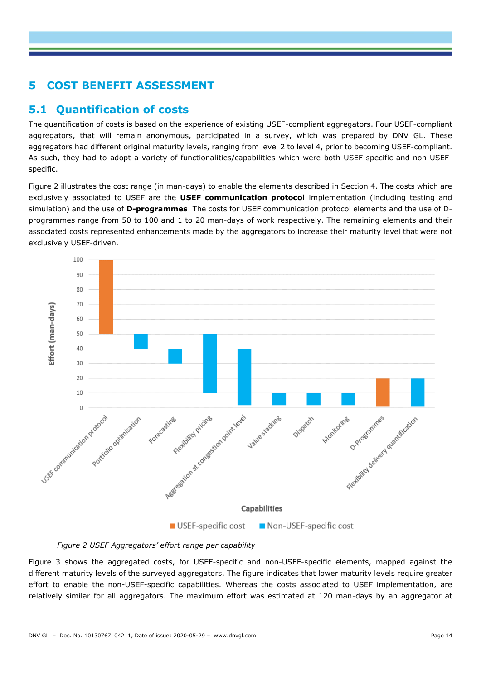## **5 COST BENEFIT ASSESSMENT**

### <span id="page-14-1"></span>**5.1 Quantification of costs**

The quantification of costs is based on the experience of existing USEF-compliant aggregators. Four USEF-compliant aggregators, that will remain anonymous, participated in a survey, which was prepared by DNV GL. These aggregators had different original maturity levels, ranging from level 2 to level 4, prior to becoming USEF-compliant. As such, they had to adopt a variety of functionalities/capabilities which were both USEF-specific and non-USEFspecific.

[Figure 2](#page-14-0) illustrates the cost range (in man-days) to enable the elements described in Section [4.](#page-11-0) The costs which are exclusively associated to USEF are the **USEF communication protocol** implementation (including testing and simulation) and the use of **D-programmes**. The costs for USEF communication protocol elements and the use of Dprogrammes range from 50 to 100 and 1 to 20 man-days of work respectively. The remaining elements and their associated costs represented enhancements made by the aggregators to increase their maturity level that were not exclusively USEF-driven.



*Figure 2 USEF Aggregators' effort range per capability*

<span id="page-14-0"></span>[Figure 3](#page-15-0) shows the aggregated costs, for USEF-specific and non-USEF-specific elements, mapped against the different maturity levels of the surveyed aggregators. The figure indicates that lower maturity levels require greater effort to enable the non-USEF-specific capabilities. Whereas the costs associated to USEF implementation, are relatively similar for all aggregators. The maximum effort was estimated at 120 man-days by an aggregator at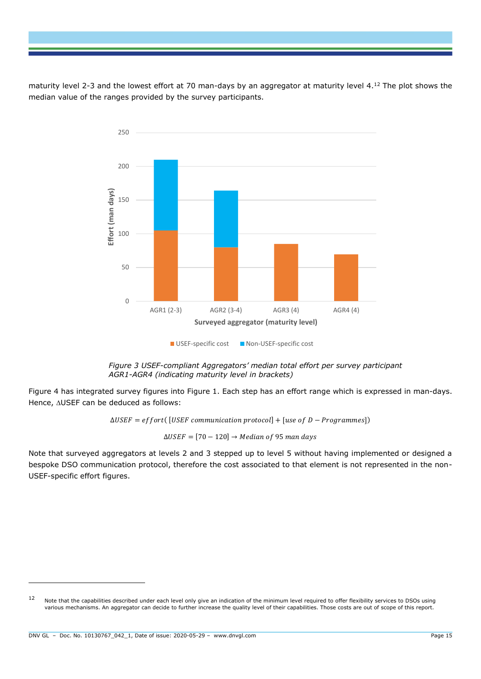maturity level 2-3 and the lowest effort at 70 man-days by an aggregator at maturity level 4.<sup>12</sup> The plot shows the median value of the ranges provided by the survey participants.



*Figure 3 USEF-compliant Aggregators' median total effort per survey participant AGR1-AGR4 (indicating maturity level in brackets)*

<span id="page-15-0"></span>[Figure 4](#page-16-0) has integrated survey figures into [Figure 1.](#page-13-0) Each step has an effort range which is expressed in man-days. Hence, AUSEF can be deduced as follows:

 $\Delta \text{USEF} = \text{effort}(\text{[USEF communication protocol]} + \text{[use of D - Programmes]})$ 

 $\Delta \text{USEF} = [70 - 120] \rightarrow \text{Median of 95 man days}$ 

Note that surveyed aggregators at levels 2 and 3 stepped up to level 5 without having implemented or designed a bespoke DSO communication protocol, therefore the cost associated to that element is not represented in the non-USEF-specific effort figures.

<sup>&</sup>lt;sup>12</sup> Note that the capabilities described under each level only give an indication of the minimum level required to offer flexibility services to DSOs using various mechanisms. An aggregator can decide to further increase the quality level of their capabilities. Those costs are out of scope of this report.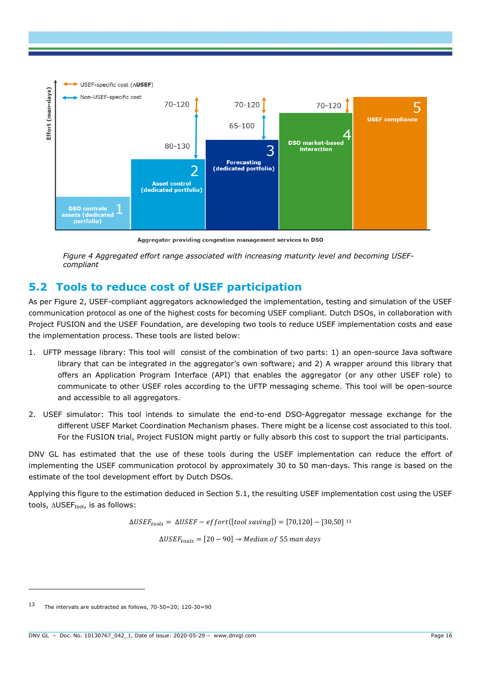

Aggregator providing congestion management services to DSO

*Figure 4 Aggregated effort range associated with increasing maturity level and becoming USEFcompliant* 

### <span id="page-16-0"></span>**5.2 Tools to reduce cost of USEF participation**

As per [Figure 2,](#page-14-0) USEF-compliant aggregators acknowledged the implementation, testing and simulation of the USEF communication protocol as one of the highest costs for becoming USEF compliant. Dutch DSOs, in collaboration with Project FUSION and the USEF Foundation, are developing two tools to reduce USEF implementation costs and ease the implementation process. These tools are listed below:

- 1. UFTP message library: This tool will consist of the combination of two parts: 1) an open-source Java software library that can be integrated in the aggregator's own software; and 2) A wrapper around this library that offers an Application Program Interface (API) that enables the aggregator (or any other USEF role) to communicate to other USEF roles according to the UFTP messaging scheme. This tool will be open-source and accessible to all aggregators.
- 2. USEF simulator: This tool intends to simulate the end-to-end DSO-Aggregator message exchange for the different USEF Market Coordination Mechanism phases. There might be a license cost associated to this tool. For the FUSION trial, Project FUSION might partly or fully absorb this cost to support the trial participants.

DNV GL has estimated that the use of these tools during the USEF implementation can reduce the effort of implementing the USEF communication protocol by approximately 30 to 50 man-days. This range is based on the estimate of the tool development effort by Dutch DSOs.

Applying this figure to the estimation deduced in Section [5.1,](#page-14-1) the resulting USEF implementation cost using the USEF tools,  $\triangle$ USEF<sub>tool</sub>, is as follows:

 $\Delta \text{USEF}_{tools} = \Delta \text{USEF} - \text{effort}([\text{tool saving}]) = [70, 120] - [30, 50]^{13}$ 

 $\Delta \text{USEF}_{\text{tools}} = [20 - 90] \rightarrow \text{Median of 55 man days}$ 

<sup>13</sup> The intervals are subtracted as follows, 70-50=20; 120-30=90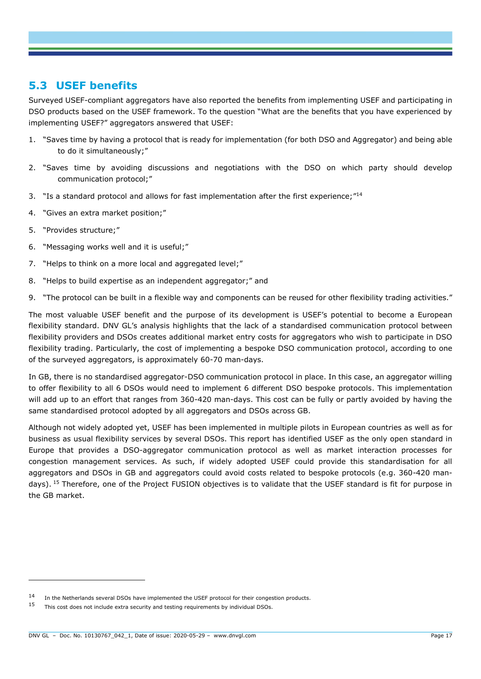### **5.3 USEF benefits**

Surveyed USEF-compliant aggregators have also reported the benefits from implementing USEF and participating in DSO products based on the USEF framework. To the question "What are the benefits that you have experienced by implementing USEF?" aggregators answered that USEF:

- 1. "Saves time by having a protocol that is ready for implementation (for both DSO and Aggregator) and being able to do it simultaneously;"
- 2. "Saves time by avoiding discussions and negotiations with the DSO on which party should develop communication protocol;"
- 3. "Is a standard protocol and allows for fast implementation after the first experience;"<sup>14</sup>
- 4. "Gives an extra market position;"
- 5. "Provides structure;"

ł

- 6. "Messaging works well and it is useful;"
- 7. "Helps to think on a more local and aggregated level;"
- 8. "Helps to build expertise as an independent aggregator;" and
- 9. "The protocol can be built in a flexible way and components can be reused for other flexibility trading activities."

The most valuable USEF benefit and the purpose of its development is USEF's potential to become a European flexibility standard. DNV GL's analysis highlights that the lack of a standardised communication protocol between flexibility providers and DSOs creates additional market entry costs for aggregators who wish to participate in DSO flexibility trading. Particularly, the cost of implementing a bespoke DSO communication protocol, according to one of the surveyed aggregators, is approximately 60-70 man-days.

In GB, there is no standardised aggregator-DSO communication protocol in place. In this case, an aggregator willing to offer flexibility to all 6 DSOs would need to implement 6 different DSO bespoke protocols. This implementation will add up to an effort that ranges from 360-420 man-days. This cost can be fully or partly avoided by having the same standardised protocol adopted by all aggregators and DSOs across GB.

Although not widely adopted yet, USEF has been implemented in multiple pilots in European countries as well as for business as usual flexibility services by several DSOs. This report has identified USEF as the only open standard in Europe that provides a DSO-aggregator communication protocol as well as market interaction processes for congestion management services. As such, if widely adopted USEF could provide this standardisation for all aggregators and DSOs in GB and aggregators could avoid costs related to bespoke protocols (e.g. 360-420 mandays). <sup>15</sup> Therefore, one of the Project FUSION objectives is to validate that the USEF standard is fit for purpose in the GB market.

<sup>14</sup> In the Netherlands several DSOs have implemented the USEF protocol for their congestion products.

 $15$  This cost does not include extra security and testing requirements by individual DSOs.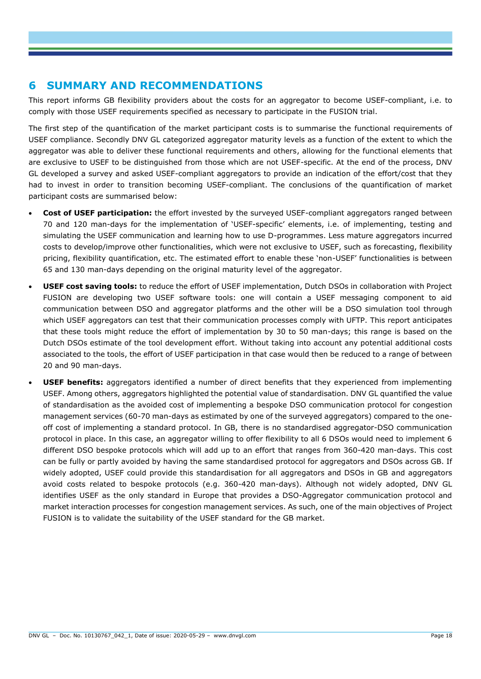#### **6 SUMMARY AND RECOMMENDATIONS**

This report informs GB flexibility providers about the costs for an aggregator to become USEF-compliant, i.e. to comply with those USEF requirements specified as necessary to participate in the FUSION trial.

The first step of the quantification of the market participant costs is to summarise the functional requirements of USEF compliance. Secondly DNV GL categorized aggregator maturity levels as a function of the extent to which the aggregator was able to deliver these functional requirements and others, allowing for the functional elements that are exclusive to USEF to be distinguished from those which are not USEF-specific. At the end of the process, DNV GL developed a survey and asked USEF-compliant aggregators to provide an indication of the effort/cost that they had to invest in order to transition becoming USEF-compliant. The conclusions of the quantification of market participant costs are summarised below:

- **Cost of USEF participation:** the effort invested by the surveyed USEF-compliant aggregators ranged between 70 and 120 man-days for the implementation of 'USEF-specific' elements, i.e. of implementing, testing and simulating the USEF communication and learning how to use D-programmes. Less mature aggregators incurred costs to develop/improve other functionalities, which were not exclusive to USEF, such as forecasting, flexibility pricing, flexibility quantification, etc. The estimated effort to enable these 'non-USEF' functionalities is between 65 and 130 man-days depending on the original maturity level of the aggregator.
- **USEF cost saving tools:** to reduce the effort of USEF implementation, Dutch DSOs in collaboration with Project FUSION are developing two USEF software tools: one will contain a USEF messaging component to aid communication between DSO and aggregator platforms and the other will be a DSO simulation tool through which USEF aggregators can test that their communication processes comply with UFTP. This report anticipates that these tools might reduce the effort of implementation by 30 to 50 man-days; this range is based on the Dutch DSOs estimate of the tool development effort. Without taking into account any potential additional costs associated to the tools, the effort of USEF participation in that case would then be reduced to a range of between 20 and 90 man-days.
- **USEF benefits:** aggregators identified a number of direct benefits that they experienced from implementing USEF. Among others, aggregators highlighted the potential value of standardisation. DNV GL quantified the value of standardisation as the avoided cost of implementing a bespoke DSO communication protocol for congestion management services (60-70 man-days as estimated by one of the surveyed aggregators) compared to the oneoff cost of implementing a standard protocol. In GB, there is no standardised aggregator-DSO communication protocol in place. In this case, an aggregator willing to offer flexibility to all 6 DSOs would need to implement 6 different DSO bespoke protocols which will add up to an effort that ranges from 360-420 man-days. This cost can be fully or partly avoided by having the same standardised protocol for aggregators and DSOs across GB. If widely adopted, USEF could provide this standardisation for all aggregators and DSOs in GB and aggregators avoid costs related to bespoke protocols (e.g. 360-420 man-days). Although not widely adopted, DNV GL identifies USEF as the only standard in Europe that provides a DSO-Aggregator communication protocol and market interaction processes for congestion management services. As such, one of the main objectives of Project FUSION is to validate the suitability of the USEF standard for the GB market.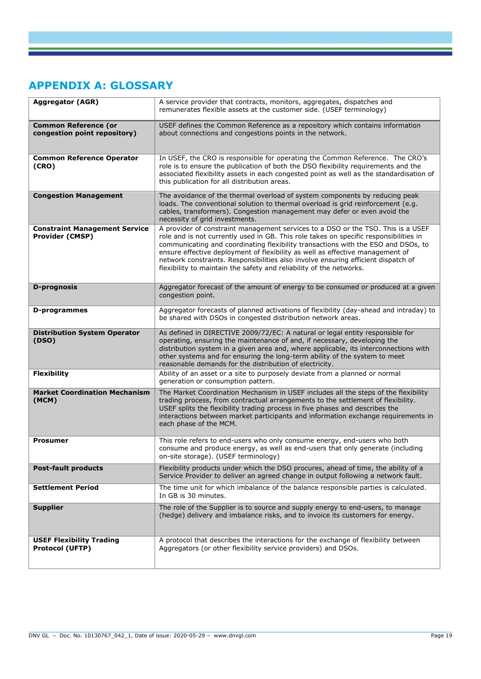## **APPENDIX A: GLOSSARY**

| <b>Aggregator (AGR)</b>                                        | A service provider that contracts, monitors, aggregates, dispatches and<br>remunerates flexible assets at the customer side. (USEF terminology)                                                                                                                                                                                                                                                                                                                                                             |  |  |  |  |
|----------------------------------------------------------------|-------------------------------------------------------------------------------------------------------------------------------------------------------------------------------------------------------------------------------------------------------------------------------------------------------------------------------------------------------------------------------------------------------------------------------------------------------------------------------------------------------------|--|--|--|--|
| <b>Common Reference (or</b><br>congestion point repository)    | USEF defines the Common Reference as a repository which contains information<br>about connections and congestions points in the network.                                                                                                                                                                                                                                                                                                                                                                    |  |  |  |  |
| <b>Common Reference Operator</b><br>(CRO)                      | In USEF, the CRO is responsible for operating the Common Reference. The CRO's<br>role is to ensure the publication of both the DSO flexibility requirements and the<br>associated flexibility assets in each congested point as well as the standardisation of<br>this publication for all distribution areas.                                                                                                                                                                                              |  |  |  |  |
| <b>Congestion Management</b>                                   | The avoidance of the thermal overload of system components by reducing peak<br>loads. The conventional solution to thermal overload is grid reinforcement (e.g.<br>cables, transformers). Congestion management may defer or even avoid the<br>necessity of grid investments.                                                                                                                                                                                                                               |  |  |  |  |
| <b>Constraint Management Service</b><br><b>Provider (CMSP)</b> | A provider of constraint management services to a DSO or the TSO. This is a USEF<br>role and is not currently used in GB. This role takes on specific responsibilities in<br>communicating and coordinating flexibility transactions with the ESO and DSOs, to<br>ensure effective deployment of flexibility as well as effective management of<br>network constraints. Responsibilities also involve ensuring efficient dispatch of<br>flexibility to maintain the safety and reliability of the networks. |  |  |  |  |
| <b>D-prognosis</b>                                             | Aggregator forecast of the amount of energy to be consumed or produced at a given<br>congestion point.                                                                                                                                                                                                                                                                                                                                                                                                      |  |  |  |  |
| <b>D-programmes</b>                                            | Aggregator forecasts of planned activations of flexibility (day-ahead and intraday) to<br>be shared with DSOs in congested distribution network areas.                                                                                                                                                                                                                                                                                                                                                      |  |  |  |  |
| <b>Distribution System Operator</b><br>(DSO)                   | As defined in DIRECTIVE 2009/72/EC: A natural or legal entity responsible for<br>operating, ensuring the maintenance of and, if necessary, developing the<br>distribution system in a given area and, where applicable, its interconnections with<br>other systems and for ensuring the long-term ability of the system to meet<br>reasonable demands for the distribution of electricity.                                                                                                                  |  |  |  |  |
| <b>Flexibility</b>                                             | Ability of an asset or a site to purposely deviate from a planned or normal<br>generation or consumption pattern.                                                                                                                                                                                                                                                                                                                                                                                           |  |  |  |  |
| <b>Market Coordination Mechanism</b><br>(MCM)                  | The Market Coordination Mechanism in USEF includes all the steps of the flexibility<br>trading process, from contractual arrangements to the settlement of flexibility.<br>USEF splits the flexibility trading process in five phases and describes the<br>interactions between market participants and information exchange requirements in<br>each phase of the MCM.                                                                                                                                      |  |  |  |  |
| <b>Prosumer</b>                                                | This role refers to end-users who only consume energy, end-users who both<br>consume and produce energy, as well as end-users that only generate (including<br>on-site storage). (USEF terminology)                                                                                                                                                                                                                                                                                                         |  |  |  |  |
| <b>Post-fault products</b>                                     | Flexibility products under which the DSO procures, ahead of time, the ability of a<br>Service Provider to deliver an agreed change in output following a network fault.                                                                                                                                                                                                                                                                                                                                     |  |  |  |  |
| <b>Settlement Period</b>                                       | The time unit for which imbalance of the balance responsible parties is calculated.<br>In GB is 30 minutes.                                                                                                                                                                                                                                                                                                                                                                                                 |  |  |  |  |
| <b>Supplier</b>                                                | The role of the Supplier is to source and supply energy to end-users, to manage<br>(hedge) delivery and imbalance risks, and to invoice its customers for energy.                                                                                                                                                                                                                                                                                                                                           |  |  |  |  |
| <b>USEF Flexibility Trading</b><br><b>Protocol (UFTP)</b>      | A protocol that describes the interactions for the exchange of flexibility between<br>Aggregators (or other flexibility service providers) and DSOs.                                                                                                                                                                                                                                                                                                                                                        |  |  |  |  |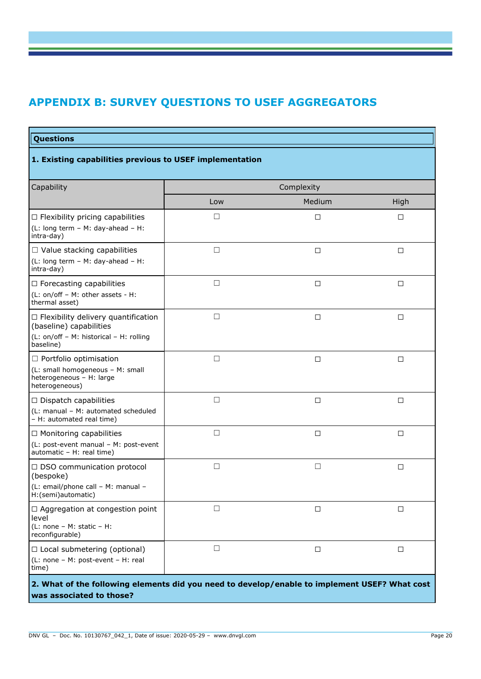# **APPENDIX B: SURVEY QUESTIONS TO USEF AGGREGATORS**

#### **Questions 1. Existing capabilities previous to USEF implementation**  Capability **Capability** Complexity **Complexity** Low Medium Medium High ☐ Flexibility pricing capabilities (L: long term – M: day-ahead – H: intra-day) ☐ ☐ ☐ ☐ Value stacking capabilities (L: long term – M: day-ahead – H: intra-day) ☐ ☐ ☐ ☐ Forecasting capabilities (L: on/off – M: other assets - H: thermal asset) ☐ ☐ ☐ ☐ Flexibility delivery quantification (baseline) capabilities (L: on/off – M: historical – H: rolling baseline) ☐ ☐ ☐ ☐ Portfolio optimisation (L: small homogeneous – M: small heterogeneous – H: large heterogeneous) ☐ ☐ ☐ ☐ Dispatch capabilities (L: manual – M: automated scheduled – H: automated real time) ☐ ☐ ☐ ☐ Monitoring capabilities (L: post-event manual – M: post-event automatic – H: real time) ☐ ☐ ☐ ☐ DSO communication protocol (bespoke) (L: email/phone call – M: manual – H:(semi)automatic) ☐ ☐ ☐ □ Aggregation at congestion point level (L: none – M: static – H: reconfigurable) ☐ ☐ ☐ ☐ Local submetering (optional) (L: none – M: post-event – H: real time) ☐ ☐ ☐ **2. What of the following elements did you need to develop/enable to implement USEF? What cost**

#### **was associated to those?**